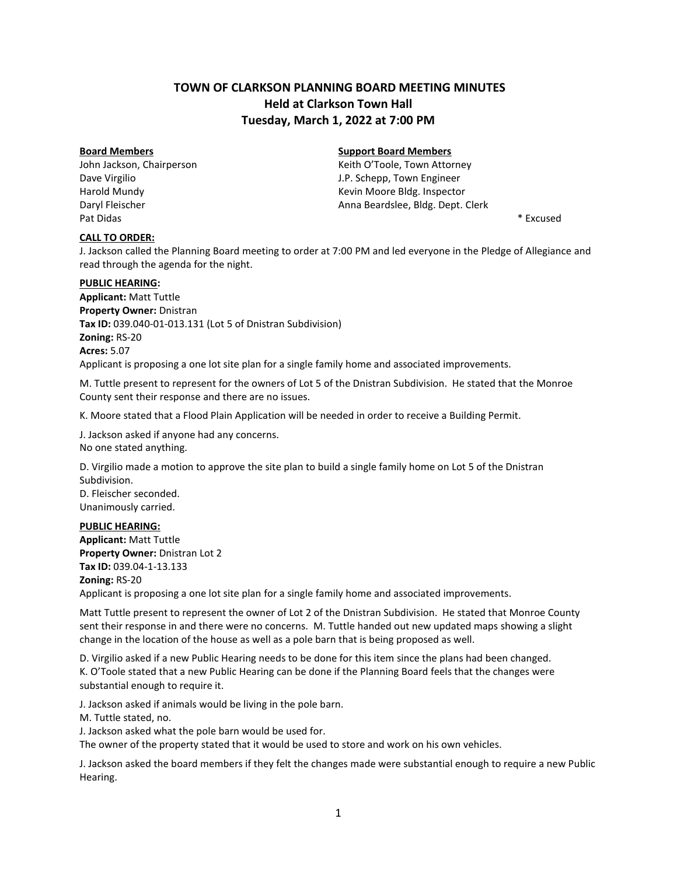# **TOWN OF CLARKSON PLANNING BOARD MEETING MINUTES Held at Clarkson Town Hall Tuesday, March 1, 2022 at 7:00 PM**

John Jackson, Chairperson **Matter Contains a Communist Container Action** Keith O'Toole, Town Attorney Pat Didas \* Excused \* \* Excused \* \* Excused \* \* Excused \* \* Excused \* \* Excused \*

### **CALL TO ORDER:**

# **Board Members Support Board Members**

Dave Virgilio J.P. Schepp, Town Engineer Harold Mundy **Keyler Accord Mundy** Kevin Moore Bldg. Inspector Daryl Fleischer Anna Beardslee, Bldg. Dept. Clerk

J. Jackson called the Planning Board meeting to order at 7:00 PM and led everyone in the Pledge of Allegiance and read through the agenda for the night.

#### **PUBLIC HEARING:**

**Applicant:** Matt Tuttle **Property Owner:** Dnistran **Tax ID:** 039.040-01-013.131 (Lot 5 of Dnistran Subdivision) **Zoning:** RS-20 **Acres:** 5.07 Applicant is proposing a one lot site plan for a single family home and associated improvements.

M. Tuttle present to represent for the owners of Lot 5 of the Dnistran Subdivision. He stated that the Monroe County sent their response and there are no issues.

K. Moore stated that a Flood Plain Application will be needed in order to receive a Building Permit.

J. Jackson asked if anyone had any concerns. No one stated anything.

D. Virgilio made a motion to approve the site plan to build a single family home on Lot 5 of the Dnistran Subdivision. D. Fleischer seconded.

Unanimously carried.

# **PUBLIC HEARING:**

**Applicant:** Matt Tuttle **Property Owner:** Dnistran Lot 2 **Tax ID:** 039.04-1-13.133 **Zoning:** RS-20 Applicant is proposing a one lot site plan for a single family home and associated improvements.

Matt Tuttle present to represent the owner of Lot 2 of the Dnistran Subdivision. He stated that Monroe County sent their response in and there were no concerns. M. Tuttle handed out new updated maps showing a slight change in the location of the house as well as a pole barn that is being proposed as well.

D. Virgilio asked if a new Public Hearing needs to be done for this item since the plans had been changed. K. O'Toole stated that a new Public Hearing can be done if the Planning Board feels that the changes were substantial enough to require it.

J. Jackson asked if animals would be living in the pole barn.

M. Tuttle stated, no.

J. Jackson asked what the pole barn would be used for.

The owner of the property stated that it would be used to store and work on his own vehicles.

J. Jackson asked the board members if they felt the changes made were substantial enough to require a new Public Hearing.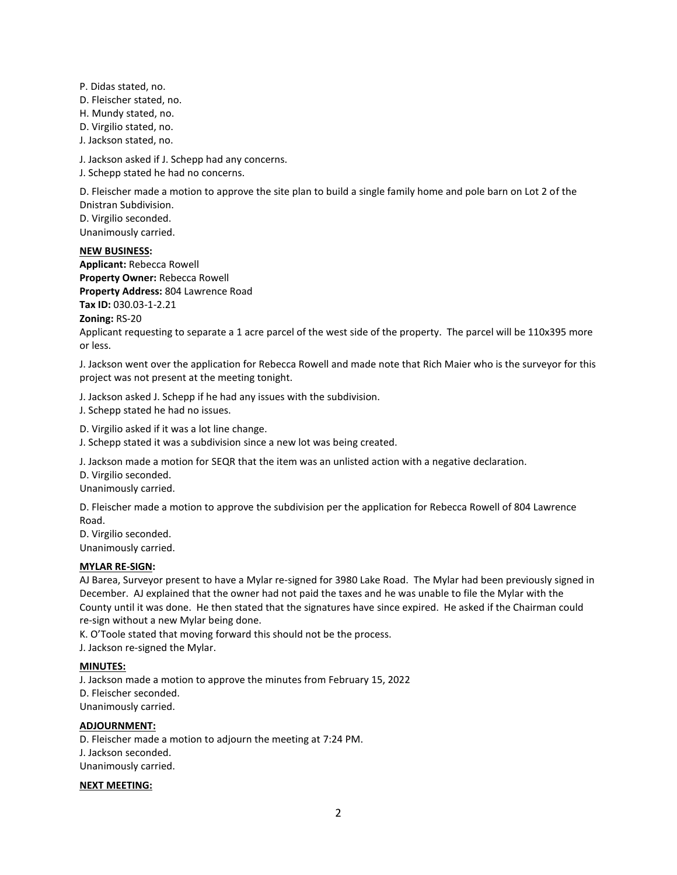P. Didas stated, no. D. Fleischer stated, no. H. Mundy stated, no. D. Virgilio stated, no. J. Jackson stated, no.

J. Jackson asked if J. Schepp had any concerns.

J. Schepp stated he had no concerns.

D. Fleischer made a motion to approve the site plan to build a single family home and pole barn on Lot 2 of the Dnistran Subdivision. D. Virgilio seconded.

Unanimously carried.

#### **NEW BUSINESS:**

**Applicant:** Rebecca Rowell **Property Owner:** Rebecca Rowell **Property Address:** 804 Lawrence Road **Tax ID:** 030.03-1-2.21

**Zoning:** RS-20

Applicant requesting to separate a 1 acre parcel of the west side of the property. The parcel will be 110x395 more or less.

J. Jackson went over the application for Rebecca Rowell and made note that Rich Maier who is the surveyor for this project was not present at the meeting tonight.

J. Jackson asked J. Schepp if he had any issues with the subdivision.

J. Schepp stated he had no issues.

D. Virgilio asked if it was a lot line change.

J. Schepp stated it was a subdivision since a new lot was being created.

J. Jackson made a motion for SEQR that the item was an unlisted action with a negative declaration.

D. Virgilio seconded.

Unanimously carried.

D. Fleischer made a motion to approve the subdivision per the application for Rebecca Rowell of 804 Lawrence Road.

D. Virgilio seconded. Unanimously carried.

#### **MYLAR RE-SIGN:**

AJ Barea, Surveyor present to have a Mylar re-signed for 3980 Lake Road. The Mylar had been previously signed in December. AJ explained that the owner had not paid the taxes and he was unable to file the Mylar with the County until it was done. He then stated that the signatures have since expired. He asked if the Chairman could re-sign without a new Mylar being done.

K. O'Toole stated that moving forward this should not be the process.

J. Jackson re-signed the Mylar.

#### **MINUTES:**

J. Jackson made a motion to approve the minutes from February 15, 2022 D. Fleischer seconded. Unanimously carried.

#### **ADJOURNMENT:**

D. Fleischer made a motion to adjourn the meeting at 7:24 PM. J. Jackson seconded. Unanimously carried.

#### **NEXT MEETING:**